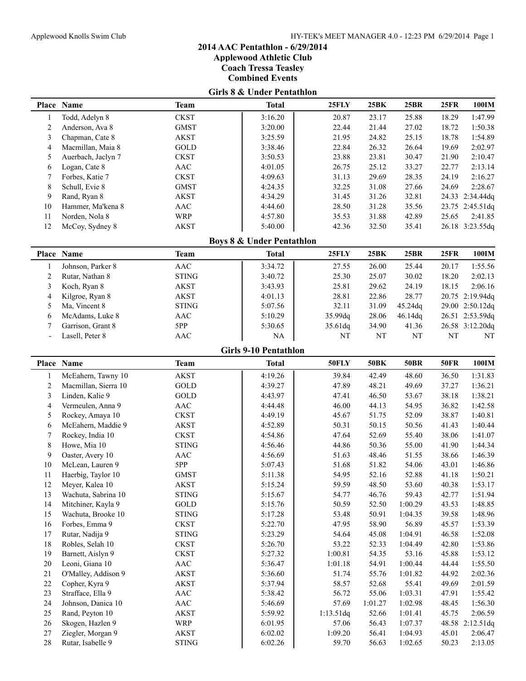**Applewood Athletic Club**

**Coach Tressa Teasley**

**Combined Events**

# **Girls 8 & Under Pentathlon**

|                          | Place Name           | <b>Team</b>                      | <b>Total</b>                         | <b>25FLY</b> | 25BK        | 25BR        | 25FR        | 100IM           |
|--------------------------|----------------------|----------------------------------|--------------------------------------|--------------|-------------|-------------|-------------|-----------------|
| 1                        | Todd, Adelyn 8       | <b>CKST</b>                      | 3:16.20                              | 20.87        | 23.17       | 25.88       | 18.29       | 1:47.99         |
| $\sqrt{2}$               | Anderson, Ava 8      | <b>GMST</b>                      | 3:20.00                              | 22.44        | 21.44       | 27.02       | 18.72       | 1:50.38         |
| $\mathfrak{Z}$           | Chapman, Cate 8      | <b>AKST</b>                      | 3:25.59                              | 21.95        | 24.82       | 25.15       | 18.78       | 1:54.89         |
| 4                        | Macmillan, Maia 8    | GOLD                             | 3:38.46                              | 22.84        | 26.32       | 26.64       | 19.69       | 2:02.97         |
| 5                        | Auerbach, Jaclyn 7   | <b>CKST</b>                      | 3:50.53                              | 23.88        | 23.81       | 30.47       | 21.90       | 2:10.47         |
| 6                        | Logan, Cate 8        | AAC                              | 4:01.05                              | 26.75        | 25.12       | 33.27       | 22.77       | 2:13.14         |
| 7                        | Forbes, Katie 7      | <b>CKST</b>                      | 4:09.63                              | 31.13        | 29.69       | 28.35       | 24.19       | 2:16.27         |
| 8                        | Schull, Evie 8       | <b>GMST</b>                      | 4:24.35                              | 32.25        | 31.08       | 27.66       | 24.69       | 2:28.67         |
| 9                        | Rand, Ryan 8         | AKST                             | 4:34.29                              | 31.45        | 31.26       | 32.81       |             | 24.33 2:34.44dq |
| 10                       | Hammer, Ma'kena 8    | AAC                              | 4:44.60                              | 28.50        | 31.28       | 35.56       |             | 23.75 2:45.51dq |
| 11                       | Norden, Nola 8       | <b>WRP</b>                       | 4:57.80                              | 35.53        | 31.88       | 42.89       | 25.65       | 2:41.85         |
| 12                       | McCoy, Sydney 8      | <b>AKST</b>                      | 5:40.00                              | 42.36        | 32.50       | 35.41       |             | 26.18 3:23.55dq |
|                          |                      |                                  |                                      |              |             |             |             |                 |
|                          |                      |                                  | <b>Boys 8 &amp; Under Pentathlon</b> |              |             |             |             |                 |
|                          | Place Name           | <b>Team</b>                      | <b>Total</b>                         | 25FLY        | 25BK        | <b>25BR</b> | <b>25FR</b> | 100IM           |
| $\mathbf{1}$             | Johnson, Parker 8    | AAC                              | 3:34.72                              | 27.55        | 26.00       | 25.44       | 20.17       | 1:55.56         |
| $\overline{c}$           | Rutar, Nathan 8      | <b>STING</b>                     | 3:40.72                              | 25.30        | 25.07       | 30.02       | 18.20       | 2:02.13         |
| 3                        | Koch, Ryan 8         | <b>AKST</b>                      | 3:43.93                              | 25.81        | 29.62       | 24.19       | 18.15       | 2:06.16         |
| 4                        | Kilgroe, Ryan 8      | <b>AKST</b>                      | 4:01.13                              | 28.81        | 22.86       | 28.77       |             | 20.75 2:19.94dq |
| 5                        | Ma, Vincent 8        | <b>STING</b>                     | 5:07.56                              | 32.11        | 31.09       | 45.24dq     |             | 29.00 2:50.12dq |
| 6                        | McAdams, Luke 8      | AAC                              | 5:10.29                              | 35.99dq      | 28.06       | 46.14dq     |             | 26.51 2:53.59dq |
| 7                        | Garrison, Grant 8    | 5PP                              | 5:30.65                              | 35.61dq      | 34.90       | 41.36       |             | 26.58 3:12.20dq |
| $\overline{\phantom{a}}$ | Lasell, Peter 8      | <b>AAC</b>                       | NA                                   | NT           | $\rm{NT}$   | $\rm{NT}$   | $\rm{NT}$   | NT              |
|                          |                      |                                  | <b>Girls 9-10 Pentathlon</b>         |              |             |             |             |                 |
|                          |                      |                                  |                                      |              |             |             |             |                 |
|                          | Place Name           | <b>Team</b>                      | <b>Total</b>                         | 50FLY        | <b>50BK</b> | <b>50BR</b> | <b>50FR</b> | 100IM           |
| 1                        | McEahern, Tawny 10   | <b>AKST</b>                      | 4:19.26                              | 39.84        | 42.49       | 48.60       | 36.50       | 1:31.83         |
| $\overline{c}$           | Macmillan, Sierra 10 | GOLD                             | 4:39.27                              | 47.89        | 48.21       | 49.69       | 37.27       | 1:36.21         |
| 3                        | Linden, Kalie 9      | GOLD                             | 4:43.97                              | 47.41        | 46.50       | 53.67       | 38.18       | 1:38.21         |
| 4                        | Vermeulen, Anna 9    | $\mathbf{A}\mathbf{A}\mathbf{C}$ | 4:44.48                              | 46.00        | 44.13       | 54.95       | 36.82       | 1:42.58         |
| 5                        | Rockey, Amaya 10     | <b>CKST</b>                      | 4:49.19                              | 45.67        | 51.75       | 52.09       | 38.87       | 1:40.81         |
| 6                        | McEahern, Maddie 9   | <b>AKST</b>                      | 4:52.89                              | 50.31        | 50.15       | 50.56       | 41.43       | 1:40.44         |
| 7                        | Rockey, India 10     | <b>CKST</b>                      | 4:54.86                              | 47.64        | 52.69       | 55.40       | 38.06       | 1:41.07         |
| 8                        | Howe, Mia 10         | <b>STING</b>                     | 4:56.46                              | 44.86        | 50.36       | 55.00       | 41.90       | 1:44.34         |
| 9                        | Oaster, Avery 10     | $\mathbf{A}\mathbf{A}\mathbf{C}$ | 4:56.69                              | 51.63        | 48.46       | 51.55       | 38.66       | 1:46.39         |
| 10                       | McLean, Lauren 9     | 5PP                              | 5:07.43                              | 51.68        | 51.82       | 54.06       | 43.01       | 1:46.86         |
| 11                       | Haerbig, Taylor 10   | <b>GMST</b>                      | 5:11.38                              | 54.95        | 52.16       | 52.88       | 41.18       | 1:50.21         |
| 12                       | Meyer, Kalea 10      | <b>AKST</b>                      | 5:15.24                              | 59.59        | 48.50       | 53.60       | 40.38       | 1:53.17         |
| 13                       | Wachuta, Sabrina 10  | <b>STING</b>                     | 5:15.67                              | 54.77        | 46.76       | 59.43       | 42.77       | 1:51.94         |
| 14                       | Mitchiner, Kayla 9   | GOLD                             | 5:15.76                              | 50.59        | 52.50       | 1:00.29     | 43.53       | 1:48.85         |
| 15                       |                      |                                  |                                      | 53.48        | 50.91       | 1:04.35     | 39.58       | 1:48.96         |
| 16                       | Wachuta, Brooke 10   | <b>STING</b>                     | 5:17.28                              |              |             |             |             |                 |
|                          | Forbes, Emma 9       | <b>CKST</b>                      | 5:22.70                              | 47.95        | 58.90       | 56.89       | 45.57       | 1:53.39         |
| 17                       | Rutar, Nadija 9      | <b>STING</b>                     | 5:23.29                              | 54.64        | 45.08       | 1:04.91     | 46.58       | 1:52.08         |
| 18                       | Robles, Selah 10     | <b>CKST</b>                      | 5:26.70                              | 53.22        | 52.33       | 1:04.49     | 42.80       | 1:53.86         |
| 19                       | Barnett, Aislyn 9    | <b>CKST</b>                      | 5:27.32                              | 1:00.81      | 54.35       | 53.16       | 45.88       | 1:53.12         |
| 20                       | Leoni, Giana 10      | AAC                              | 5:36.47                              | 1:01.18      | 54.91       | 1:00.44     | 44.44       | 1:55.50         |
| $21\,$                   | O'Malley, Addison 9  | AKST                             | 5:36.60                              | 51.74        | 55.76       | 1:01.82     | 44.92       | 2:02.36         |
| $22\,$                   | Copher, Kyra 9       | <b>AKST</b>                      | 5:37.94                              | 58.57        | 52.68       | 55.41       | 49.69       | 2:01.59         |
| 23                       | Strafface, Ella 9    | AAC                              | 5:38.42                              | 56.72        | 55.06       | 1:03.31     | 47.91       | 1:55.42         |
| 24                       | Johnson, Danica 10   | AAC                              | 5:46.69                              | 57.69        | 1:01.27     | 1:02.98     | 48.45       | 1:56.30         |
| $25\,$                   | Rand, Peyton 10      | <b>AKST</b>                      | 5:59.92                              | 1:13.51dq    | 52.66       | 1:01.41     | 45.75       | 2:06.59         |
| 26                       | Skogen, Hazlen 9     | <b>WRP</b>                       | 6:01.95                              | 57.06        | 56.43       | 1:07.37     |             | 48.58 2:12.51dq |
| $27\,$                   | Ziegler, Morgan 9    | AKST                             | 6:02.02                              | 1:09.20      | 56.41       | 1:04.93     | 45.01       | 2:06.47         |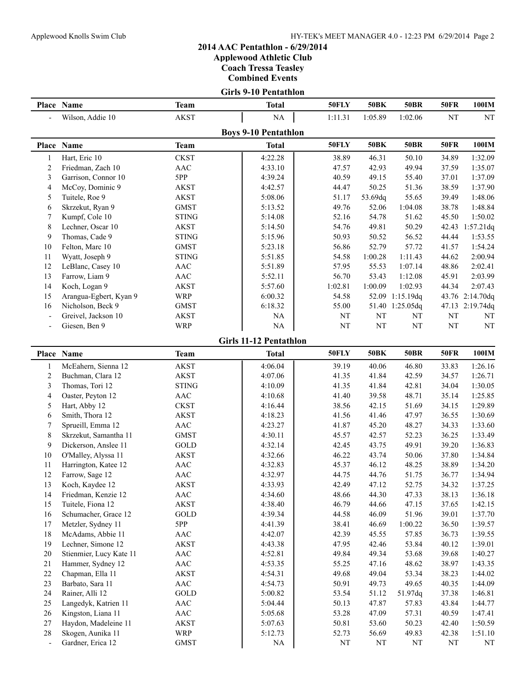**Applewood Athletic Club**

**Coach Tressa Teasley**

**Combined Events**

#### **Girls 9-10 Pentathlon**

|                          | Place Name             | Team         | <b>Total</b>                | 50FLY        | <b>50BK</b> | <b>50BR</b> | <b>50FR</b> | 100IM           |
|--------------------------|------------------------|--------------|-----------------------------|--------------|-------------|-------------|-------------|-----------------|
| $\overline{\phantom{0}}$ | Wilson, Addie 10       | <b>AKST</b>  | NA                          | 1:11.31      | 1:05.89     | 1:02.06     | NT          | NT              |
|                          |                        |              | <b>Boys 9-10 Pentathlon</b> |              |             |             |             |                 |
|                          | Place Name             | Team         | <b>Total</b>                | <b>50FLY</b> | <b>50BK</b> | <b>50BR</b> | <b>50FR</b> | 100IM           |
|                          | Hart, Eric 10          | <b>CKST</b>  | 4:22.28                     | 38.89        | 46.31       | 50.10       | 34.89       | 1:32.09         |
| 2                        | Friedman, Zach 10      | AAC          | 4:33.10                     | 47.57        | 42.93       | 49.94       | 37.59       | 1:35.07         |
| 3                        | Garrison, Connor 10    | 5PP          | 4:39.24                     | 40.59        | 49.15       | 55.40       | 37.01       | 1:37.09         |
| 4                        | McCoy, Dominic 9       | AKST         | 4:42.57                     | 44.47        | 50.25       | 51.36       | 38.59       | 1:37.90         |
| 5                        | Tuitele, Roe 9         | AKST         | 5:08.06                     | 51.17        | 53.69dq     | 55.65       | 39.49       | 1:48.06         |
| 6                        | Skrzekut, Ryan 9       | <b>GMST</b>  | 5:13.52                     | 49.76        | 52.06       | 1:04.08     | 38.78       | 1:48.84         |
| 7                        | Kumpf, Cole 10         | <b>STING</b> | 5:14.08                     | 52.16        | 54.78       | 51.62       | 45.50       | 1:50.02         |
| 8                        | Lechner, Oscar 10      | <b>AKST</b>  | 5:14.50                     | 54.76        | 49.81       | 50.29       | 42.43       | $1:57.21$ dq    |
| 9                        | Thomas, Cade 9         | <b>STING</b> | 5:15.96                     | 50.93        | 50.52       | 56.52       | 44.44       | 1:53.55         |
| 10                       | Felton, Marc 10        | <b>GMST</b>  | 5:23.18                     | 56.86        | 52.79       | 57.72       | 41.57       | 1:54.24         |
| 11                       | Wyatt, Joseph 9        | <b>STING</b> | 5:51.85                     | 54.58        | 1:00.28     | 1:11.43     | 44.62       | 2:00.94         |
| 12                       | LeBlanc, Casey 10      | AAC          | 5:51.89                     | 57.95        | 55.53       | 1:07.14     | 48.86       | 2:02.41         |
| 13                       | Farrow, Liam 9         | AAC          | 5:52.11                     | 56.70        | 53.43       | 1:12.08     | 45.91       | 2:03.99         |
| 14                       | Koch, Logan 9          | <b>AKST</b>  | 5:57.60                     | 1:02.81      | 1:00.09     | 1:02.93     | 44.34       | 2:07.43         |
| 15                       | Arangua-Egbert, Kyan 9 | WRP          | 6:00.32                     | 54.58        | 52.09       | 1:15.19dq   |             | 43.76 2:14.70dq |
| 16                       | Nicholson, Beck 9      | <b>GMST</b>  | 6:18.32                     | 55.00        | 51.40       | 1:25.05dq   |             | 47.13 2:19.74dq |
| $\overline{\phantom{a}}$ | Greivel, Jackson 10    | AKST         | NA                          | NT           | NT          | NT          | NT          | NT              |
| $\overline{\phantom{0}}$ | Giesen, Ben 9          | <b>WRP</b>   | NA                          | NT           | NT          | NT          | NT          | NT              |

**Girls 11-12 Pentathlon**

|                          | Place Name              | <b>Team</b>           | <b>Total</b> | 50FLY | <b>50BK</b> | <b>50BR</b> | <b>50FR</b> | 100IM   |
|--------------------------|-------------------------|-----------------------|--------------|-------|-------------|-------------|-------------|---------|
| 1                        | McEahern, Sienna 12     | <b>AKST</b>           | 4:06.04      | 39.19 | 40.06       | 46.80       | 33.83       | 1:26.16 |
| $\overline{2}$           | Buchman, Clara 12       | <b>AKST</b>           | 4:07.06      | 41.35 | 41.84       | 42.59       | 34.57       | 1:26.71 |
| 3                        | Thomas, Tori 12         | <b>STING</b>          | 4:10.09      | 41.35 | 41.84       | 42.81       | 34.04       | 1:30.05 |
| 4                        | Oaster, Peyton 12       | AAC                   | 4:10.68      | 41.40 | 39.58       | 48.71       | 35.14       | 1:25.85 |
| 5                        | Hart, Abby 12           | <b>CKST</b>           | 4:16.44      | 38.56 | 42.15       | 51.69       | 34.15       | 1:29.89 |
| 6                        | Smith, Thora 12         | <b>AKST</b>           | 4:18.23      | 41.56 | 41.46       | 47.97       | 36.55       | 1:30.69 |
| 7                        | Sprueill, Emma 12       | AAC                   | 4:23.27      | 41.87 | 45.20       | 48.27       | 34.33       | 1:33.60 |
| 8                        | Skrzekut, Samantha 11   | <b>GMST</b>           | 4:30.11      | 45.57 | 42.57       | 52.23       | 36.25       | 1:33.49 |
| 9                        | Dickerson, Anslee 11    | GOLD                  | 4:32.14      | 42.45 | 43.75       | 49.91       | 39.20       | 1:36.83 |
| 10                       | O'Malley, Alyssa 11     | AKST                  | 4:32.66      | 46.22 | 43.74       | 50.06       | 37.80       | 1:34.84 |
| 11                       | Harrington, Katee 12    | AAC                   | 4:32.83      | 45.37 | 46.12       | 48.25       | 38.89       | 1:34.20 |
| 12                       | Farrow, Sage 12         | AAC                   | 4:32.97      | 44.75 | 44.76       | 51.75       | 36.77       | 1:34.94 |
| 13                       | Koch, Kaydee 12         | <b>AKST</b>           | 4:33.93      | 42.49 | 47.12       | 52.75       | 34.32       | 1:37.25 |
| 14                       | Friedman, Kenzie 12     | AAC                   | 4:34.60      | 48.66 | 44.30       | 47.33       | 38.13       | 1:36.18 |
| 15                       | Tuitele, Fiona 12       | <b>AKST</b>           | 4:38.40      | 46.79 | 44.66       | 47.15       | 37.65       | 1:42.15 |
| 16                       | Schumacher, Grace 12    | $\operatorname{GOLD}$ | 4:39.34      | 44.58 | 46.09       | 51.96       | 39.01       | 1:37.70 |
| 17                       | Metzler, Sydney 11      | 5PP                   | 4:41.39      | 38.41 | 46.69       | 1:00.22     | 36.50       | 1:39.57 |
| 18                       | McAdams, Abbie 11       | AAC                   | 4:42.07      | 42.39 | 45.55       | 57.85       | 36.73       | 1:39.55 |
| 19                       | Lechner, Simone 12      | <b>AKST</b>           | 4:43.38      | 47.95 | 42.46       | 53.84       | 40.12       | 1:39.01 |
| 20                       | Stienmier, Lucy Kate 11 | AAC                   | 4:52.81      | 49.84 | 49.34       | 53.68       | 39.68       | 1:40.27 |
| 21                       | Hammer, Sydney 12       | AAC                   | 4:53.35      | 55.25 | 47.16       | 48.62       | 38.97       | 1:43.35 |
| 22                       | Chapman, Ella 11        | AKST                  | 4:54.31      | 49.68 | 49.04       | 53.34       | 38.23       | 1:44.02 |
| 23                       | Barbato, Sara 11        | AAC                   | 4:54.73      | 50.91 | 49.73       | 49.65       | 40.35       | 1:44.09 |
| 24                       | Rainer, Alli 12         | GOLD                  | 5:00.82      | 53.54 | 51.12       | 51.97dq     | 37.38       | 1:46.81 |
| 25                       | Langedyk, Katrien 11    | AAC                   | 5:04.44      | 50.13 | 47.87       | 57.83       | 43.84       | 1:44.77 |
| 26                       | Kingston, Liana 11      | AAC                   | 5:05.68      | 53.28 | 47.09       | 57.31       | 40.59       | 1:47.41 |
| 27                       | Haydon, Madeleine 11    | <b>AKST</b>           | 5:07.63      | 50.81 | 53.60       | 50.23       | 42.40       | 1:50.59 |
| 28                       | Skogen, Aunika 11       | WRP                   | 5:12.73      | 52.73 | 56.69       | 49.83       | 42.38       | 1:51.10 |
| $\overline{\phantom{a}}$ | Gardner, Erica 12       | <b>GMST</b>           | NA           | NT    | NT          | NT          | NT          | NT      |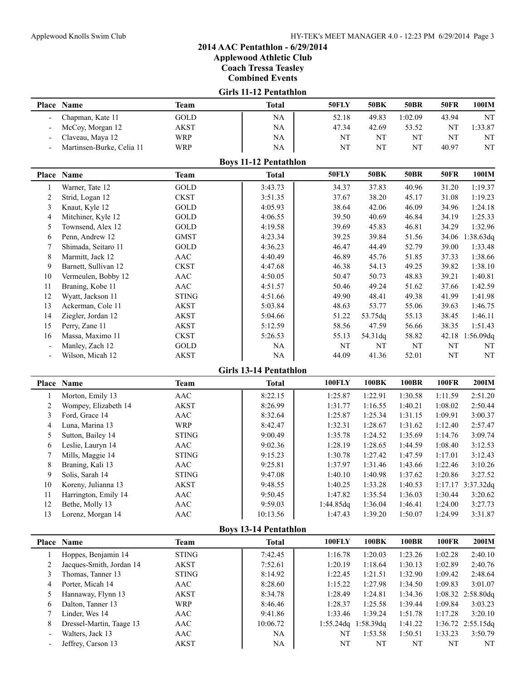**Applewood Athletic Club**

**Coach Tressa Teasley**

**Combined Events**

### **Girls 11-12 Pentathlon**

| Place | <b>Name</b>               | Team        | <b>Total</b>                                | <b>50FLY</b> | 50BK  | 50BR    | <b>50FR</b> | 100IM     |
|-------|---------------------------|-------------|---------------------------------------------|--------------|-------|---------|-------------|-----------|
|       | Chapman, Kate 11          | GOLD        | <b>NA</b>                                   | 52.18        | 49.83 | 1:02.09 | 43.94       | NT.       |
|       | McCoy, Morgan 12          | <b>AKST</b> | <b>NA</b>                                   | 47.34        | 42.69 | 53.52   | NΤ          | 1:33.87   |
|       | Claveau, Maya 12          | WRP         | NA.                                         | NΤ           | NT    | NΤ      | NΤ          | <b>NT</b> |
|       | Martinsen-Burke, Celia 11 | WRP         | NA                                          | NΤ           | NT    | NΤ      | 40.97       | NT        |
|       |                           |             | $D_{\text{area}}$ 11 12 $D_{\text{cutoff}}$ |              |       |         |             |           |

|    | <b>BOVS 11-12 Pentathion</b> |              |         |              |             |             |             |           |  |  |
|----|------------------------------|--------------|---------|--------------|-------------|-------------|-------------|-----------|--|--|
|    | Place Name                   | Team         | Total   | <b>50FLY</b> | <b>50BK</b> | <b>50BR</b> | <b>50FR</b> | 100IM     |  |  |
|    | Warner, Tate 12              | GOLD         | 3:43.73 | 34.37        | 37.83       | 40.96       | 31.20       | 1:19.37   |  |  |
| 2  | Strid, Logan 12              | <b>CKST</b>  | 3:51.35 | 37.67        | 38.20       | 45.17       | 31.08       | 1:19.23   |  |  |
| 3  | Knaut, Kyle 12               | GOLD         | 4:05.93 | 38.64        | 42.06       | 46.09       | 34.96       | 1:24.18   |  |  |
| 4  | Mitchiner, Kyle 12           | GOLD         | 4:06.55 | 39.50        | 40.69       | 46.84       | 34.19       | 1:25.33   |  |  |
| 5  | Townsend, Alex 12            | GOLD         | 4:19.58 | 39.69        | 45.83       | 46.81       | 34.29       | 1:32.96   |  |  |
| 6  | Penn, Andrew 12              | <b>GMST</b>  | 4:23.34 | 39.25        | 39.84       | 51.56       | 34.06       | 1:38.63dq |  |  |
|    | Shimada, Seitaro 11          | GOLD         | 4:36.23 | 46.47        | 44.49       | 52.79       | 39.00       | 1:33.48   |  |  |
| 8  | Marmitt, Jack 12             | AAC          | 4:40.49 | 46.89        | 45.76       | 51.85       | 37.33       | 1:38.66   |  |  |
| 9  | Barnett, Sullivan 12         | <b>CKST</b>  | 4:47.68 | 46.38        | 54.13       | 49.25       | 39.82       | 1:38.10   |  |  |
| 10 | Vermeulen, Bobby 12          | AAC          | 4:50.05 | 50.47        | 50.73       | 48.83       | 39.21       | 1:40.81   |  |  |
| 11 | Braning, Kobe 11             | AAC          | 4:51.57 | 50.46        | 49.24       | 51.62       | 37.66       | 1:42.59   |  |  |
| 12 | Wyatt, Jackson 11            | <b>STING</b> | 4:51.66 | 49.90        | 48.41       | 49.38       | 41.99       | 1:41.98   |  |  |
| 13 | Ackerman, Cole 11            | AKST         | 5:03.84 | 48.63        | 53.77       | 55.06       | 39.63       | 1:46.75   |  |  |
| 14 | Ziegler, Jordan 12           | AKST         | 5:04.66 | 51.22        | 53.75dq     | 55.13       | 38.45       | 1:46.11   |  |  |
| 15 | Perry, Zane 11               | AKST         | 5:12.59 | 58.56        | 47.59       | 56.66       | 38.35       | 1:51.43   |  |  |
| 16 | Massa, Maximo 11             | <b>CKST</b>  | 5:26.53 | 55.13        | 54.31dq     | 58.82       | 42.18       | 1:56.09dq |  |  |
|    | Manley, Zach 12              | GOLD         | NA      | NT           | NT          | NT          | NT          | NT        |  |  |
|    | Wilson, Micah 12             | AKST         | NA      | 44.09        | 41.36       | 52.01       | NT          | NT        |  |  |
|    |                              |              |         |              |             |             |             |           |  |  |

#### **Girls 13-14 Pentathlon**

| Place Name           | Team         | <b>Total</b> | <b>100FLY</b> | 100BK   | 100BR   | <b>100FR</b> | <b>200IM</b>        |
|----------------------|--------------|--------------|---------------|---------|---------|--------------|---------------------|
| Morton, Emily 13     | AAC          | 8:22.15      | 1:25.87       | 1:22.91 | 1:30.58 | 1:11.59      | 2:51.20             |
| Wompey, Elizabeth 14 | <b>AKST</b>  | 8:26.99      | 1:31.77       | 1:16.55 | 1:40.21 | 1:08.02      | 2:50.44             |
| Ford, Grace 14       | AAC          | 8:32.64      | 1:25.87       | 1:25.34 | 1:31.15 | 1:09.91      | 3:00.37             |
| Luna, Marina 13      | <b>WRP</b>   | 8:42.47      | 1:32.31       | 1:28.67 | 1:31.62 | 1:12.40      | 2:57.47             |
| Sutton, Bailey 14    | <b>STING</b> | 9:00.49      | 1:35.78       | 1:24.52 | 1:35.69 | 1:14.76      | 3:09.74             |
| Leslie, Lauryn 14    | AAC          | 9:02.36      | 1:28.19       | 1:28.65 | 1:44.59 | 1:08.40      | 3:12.53             |
| Mills, Maggie 14     | <b>STING</b> | 9:15.23      | 1:30.78       | 1:27.42 | 1:47.59 | 1:17.01      | 3:12.43             |
| Braning, Kali 13     | AAC          | 9:25.81      | 1:37.97       | 1:31.46 | 1:43.66 | 1:22.46      | 3:10.26             |
| Solis, Sarah 14      | <b>STING</b> | 9:47.08      | 1:40.10       | 1:40.98 | 1:37.62 | 1:20.86      | 3:27.52             |
| Koreny, Julianna 13  | AKST         | 9:48.55      | 1:40.25       | 1:33.28 | 1:40.53 |              | $1:17.17$ 3:37.32dq |
| Harrington, Emily 14 | AAC          | 9:50.45      | 1:47.82       | 1:35.54 | 1:36.03 | 1:30.44      | 3:20.62             |
| Bethe, Molly 13      | AAC          | 9:59.03      | 1:44.85dq     | 1:36.04 | 1:46.41 | 1:24.00      | 3:27.73             |
| Lorenz, Morgan 14    | AAC          | 10:13.56     | 1:47.43       | 1:39.20 | 1:50.07 | 1:24.99      | 3:31.87             |
|                      |              |              |               |         |         |              |                     |

#### **Boys 13-14 Pentathlon**

|   | <b>Place Name</b>        | Team         | Total     | <b>100FLY</b> | 100BK        | 100BR   | <b>100FR</b> | <b>200IM</b>        |
|---|--------------------------|--------------|-----------|---------------|--------------|---------|--------------|---------------------|
|   | Hoppes, Benjamin 14      | <b>STING</b> | 7:42.45   | 1:16.78       | 1:20.03      | 1:23.26 | 1:02.28      | 2:40.10             |
|   | Jacques-Smith, Jordan 14 | AKST         | 7:52.61   | 1:20.19       | 1:18.64      | 1:30.13 | 1:02.89      | 2:40.76             |
|   | Thomas, Tanner 13        | <b>STING</b> | 8:14.92   | 1:22.45       | 1:21.51      | 1:32.90 | 1:09.42      | 2:48.64             |
| 4 | Porter, Micah 14         | AAC          | 8:28.60   | 1:15.22       | 1:27.98      | 1:34.50 | 1:09.83      | 3:01.07             |
|   | Hannaway, Flynn 13       | AKST         | 8:34.78   | 1:28.49       | 1:24.81      | 1:34.36 |              | $1:08.32$ 2:58.80dq |
| 6 | Dalton, Tanner 13        | <b>WRP</b>   | 8:46.46   | 1:28.37       | 1:25.58      | 1:39.44 | 1:09.84      | 3:03.23             |
|   | Linder, Wes 14           | AAC          | 9:41.86   | 1:33.46       | 1:39.24      | 1:51.78 | 1:17.28      | 3:20.10             |
| 8 | Dressel-Martin, Taage 13 | AAC          | 10:06.72  | 1:55.24da     | $1:58.39$ dq | 1:41.22 |              | 1:36.72 2:55.15dq   |
|   | Walters, Jack 13         | AAC          | <b>NA</b> | NT            | 1:53.58      | 1:50.51 | 1:33.23      | 3:50.79             |
|   | Jeffrey, Carson 13       | AKST         | NA        | NT            | NT           | NT      | NT           | NT                  |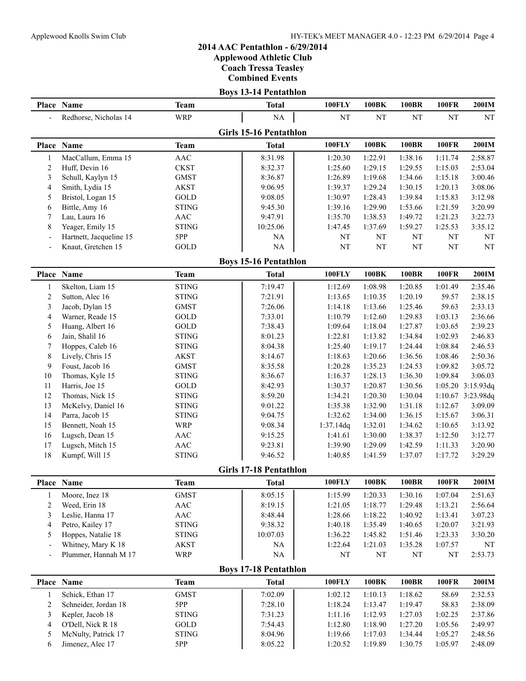**Applewood Athletic Club**

**Coach Tressa Teasley**

**Combined Events**

|                          |                         |              | <b>Boys 13-14 Pentathlon</b>  |               |           |              |              |                   |
|--------------------------|-------------------------|--------------|-------------------------------|---------------|-----------|--------------|--------------|-------------------|
|                          | Place Name              | <b>Team</b>  | <b>Total</b>                  | <b>100FLY</b> | 100BK     | <b>100BR</b> | <b>100FR</b> | 200IM             |
| $\overline{a}$           | Redhorse, Nicholas 14   | <b>WRP</b>   | $\rm NA$                      | $\rm{NT}$     | $\rm{NT}$ | NT           | NT           | NT                |
|                          |                         |              | <b>Girls 15-16 Pentathlon</b> |               |           |              |              |                   |
|                          | Place Name              | <b>Team</b>  | <b>Total</b>                  | 100FLY        | 100BK     | <b>100BR</b> | <b>100FR</b> | <b>200IM</b>      |
| 1                        | MacCallum, Emma 15      | AAC          | 8:31.98                       | 1:20.30       | 1:22.91   | 1:38.16      | 1:11.74      | 2:58.87           |
| $\overline{c}$           | Huff, Devin 16          | <b>CKST</b>  | 8:32.37                       | 1:25.60       | 1:29.15   | 1:29.55      | 1:15.03      | 2:53.04           |
| 3                        | Schull, Kaylyn 15       | <b>GMST</b>  | 8:36.87                       | 1:26.89       | 1:19.68   | 1:34.66      | 1:15.18      | 3:00.46           |
| 4                        | Smith, Lydia 15         | <b>AKST</b>  | 9:06.95                       | 1:39.37       | 1:29.24   | 1:30.15      | 1:20.13      | 3:08.06           |
| 5                        | Bristol, Logan 15       | GOLD         | 9:08.05                       | 1:30.97       | 1:28.43   | 1:39.84      | 1:15.83      | 3:12.98           |
| 6                        | Bittle, Amy 16          | <b>STING</b> | 9:45.30                       | 1:39.16       | 1:29.90   | 1:53.66      | 1:21.59      | 3:20.99           |
| 7                        | Lau, Laura 16           | AAC          | 9:47.91                       | 1:35.70       | 1:38.53   | 1:49.72      | 1:21.23      | 3:22.73           |
| 8                        | Yeager, Emily 15        | <b>STING</b> | 10:25.06                      | 1:47.45       | 1:37.69   | 1:59.27      | 1:25.53      | 3:35.12           |
| $\overline{\phantom{a}}$ | Hartnett, Jacqueline 15 | 5PP          | $\rm NA$                      | $\rm{NT}$     | NT        | NT           | NT           | NT                |
| $\overline{a}$           | Knaut, Gretchen 15      | GOLD         | $\rm NA$                      | $\rm{NT}$     | NT        | NT           | $\rm{NT}$    | NT                |
|                          |                         |              | <b>Boys 15-16 Pentathlon</b>  |               |           |              |              |                   |
|                          | Place Name              | <b>Team</b>  | <b>Total</b>                  | 100FLY        | 100BK     | <b>100BR</b> | <b>100FR</b> | <b>200IM</b>      |
| 1                        | Skelton, Liam 15        | <b>STING</b> | 7:19.47                       | 1:12.69       | 1:08.98   | 1:20.85      | 1:01.49      | 2:35.46           |
| 2                        | Sutton, Alec 16         | <b>STING</b> | 7:21.91                       | 1:13.65       | 1:10.35   | 1:20.19      | 59.57        | 2:38.15           |
| 3                        | Jacob, Dylan 15         | <b>GMST</b>  | 7:26.06                       | 1:14.18       | 1:13.66   | 1:25.46      | 59.63        | 2:33.13           |
| 4                        | Warner, Reade 15        | GOLD         | 7:33.01                       | 1:10.79       | 1:12.60   | 1:29.83      | 1:03.13      | 2:36.66           |
| 5                        | Huang, Albert 16        | GOLD         | 7:38.43                       | 1:09.64       | 1:18.04   | 1:27.87      | 1:03.65      | 2:39.23           |
| 6                        | Jain, Shalil 16         | <b>STING</b> | 8:01.23                       | 1:22.81       | 1:13.82   | 1:34.84      | 1:02.93      | 2:46.83           |
| 7                        | Hoppes, Caleb 16        | <b>STING</b> | 8:04.38                       | 1:25.40       | 1:19.17   | 1:24.44      | 1:08.84      | 2:46.53           |
| 8                        | Lively, Chris 15        | <b>AKST</b>  | 8:14.67                       | 1:18.63       | 1:20.66   | 1:36.56      | 1:08.46      | 2:50.36           |
| 9                        | Foust, Jacob 16         | <b>GMST</b>  | 8:35.58                       | 1:20.28       | 1:35.23   | 1:24.53      | 1:09.82      | 3:05.72           |
| 10                       | Thomas, Kyle 15         | <b>STING</b> | 8:36.67                       | 1:16.37       | 1:28.13   | 1:36.30      | 1:09.84      | 3:06.03           |
| 11                       | Harris, Joe 15          | GOLD         | 8:42.93                       | 1:30.37       | 1:20.87   | 1:30.56      |              | 1:05.20 3:15.93dq |
| 12                       | Thomas, Nick 15         | <b>STING</b> | 8:59.20                       | 1:34.21       | 1:20.30   | 1:30.04      |              | 1:10.67 3:23.98dq |
| 13                       | McKelvy, Daniel 16      | <b>STING</b> | 9:01.22                       | 1:35.38       | 1:32.90   | 1:31.18      | 1:12.67      | 3:09.09           |
| 14                       | Parra, Jacob 15         | <b>STING</b> | 9:04.75                       | 1:32.62       | 1:34.00   | 1:36.15      | 1:15.67      | 3:06.31           |
| 15                       | Bennett, Noah 15        | WRP          | 9:08.34                       | 1:37.14dq     | 1:32.01   | 1:34.62      | 1:10.65      | 3:13.92           |
| 16                       | Lugsch, Dean 15         | AAC          | 9:15.25                       | 1:41.61       | 1:30.00   | 1:38.37      | 1:12.50      | 3:12.77           |
| 17                       | Lugsch, Mitch 15        | <b>AAC</b>   | 9:23.81                       | 1:39.90       | 1:29.09   | 1:42.59      | 1:11.33      | 3:20.90           |
| 18                       | Kumpf, Will 15          | <b>STING</b> | 9:46.52                       | 1:40.85       | 1:41.59   | 1:37.07      | 1:17.72      | 3:29.29           |
|                          |                         |              | <b>Girls 17-18 Pentathlon</b> |               |           |              |              |                   |
|                          | Place Name              | <b>Team</b>  | <b>Total</b>                  | 100FLY        | 100BK     | <b>100BR</b> | <b>100FR</b> | $200$ IM          |
| $\mathbf{1}$             | Moore, Inez 18          | <b>GMST</b>  | 8:05.15                       | 1:15.99       | 1:20.33   | 1:30.16      | 1:07.04      | 2:51.63           |
| $\overline{c}$           | Weed, Erin 18           | AAC          | 8:19.15                       | 1:21.05       | 1:18.77   | 1:29.48      | 1:13.21      | 2:56.64           |
| 3                        | Leslie, Hanna 17        | AAC          | 8:48.44                       | 1:28.66       | 1:18.22   | 1:40.92      | 1:13.41      | 3:07.23           |
| 4                        | Petro, Kailey 17        | <b>STING</b> | 9:38.32                       | 1:40.18       | 1:35.49   | 1:40.65      | 1:20.07      | 3:21.93           |
| 5                        | Hoppes, Natalie 18      | <b>STING</b> | 10:07.03                      | 1:36.22       | 1:45.82   | 1:51.46      | 1:23.33      | 3:30.20           |
| ٠                        | Whitney, Mary K 18      | <b>AKST</b>  | NA                            | 1:22.64       | 1:21.03   | 1:35.28      | 1:07.57      | NT                |
|                          | Plummer, Hannah M 17    | <b>WRP</b>   | NA                            | NT            | NT        | NT           | $\rm{NT}$    | 2:53.73           |
|                          |                         |              | <b>Boys 17-18 Pentathlon</b>  |               |           |              |              |                   |
|                          | Place Name              | <b>Team</b>  | <b>Total</b>                  | <b>100FLY</b> | 100BK     | <b>100BR</b> | <b>100FR</b> | $200$ IM          |
| 1                        | Schick, Ethan 17        | <b>GMST</b>  | 7:02.09                       | 1:02.12       | 1:10.13   | 1:18.62      | 58.69        | 2:32.53           |
| 2                        | Schneider, Jordan 18    | 5PP          | 7:28.10                       | 1:18.24       | 1:13.47   | 1:19.47      | 58.83        | 2:38.09           |
| 3                        | Kepler, Jacob 18        | <b>STING</b> | 7:31.23                       | 1:11.16       | 1:12.93   | 1:27.03      | 1:02.25      | 2:37.86           |
| 4                        | O'Dell, Nick R 18       | GOLD         | 7:54.43                       | 1:12.80       | 1:18.90   | 1:27.20      | 1:05.56      | 2:49.97           |
| 5                        | McNulty, Patrick 17     | <b>STING</b> | 8:04.96                       | 1:19.66       | 1:17.03   | 1:34.44      | 1:05.27      | 2:48.56           |
| 6                        | Jimenez, Alec 17        | 5PP          | 8:05.22                       | 1:20.52       | 1:19.89   | 1:30.75      | 1:05.97      | 2:48.09           |
|                          |                         |              |                               |               |           |              |              |                   |